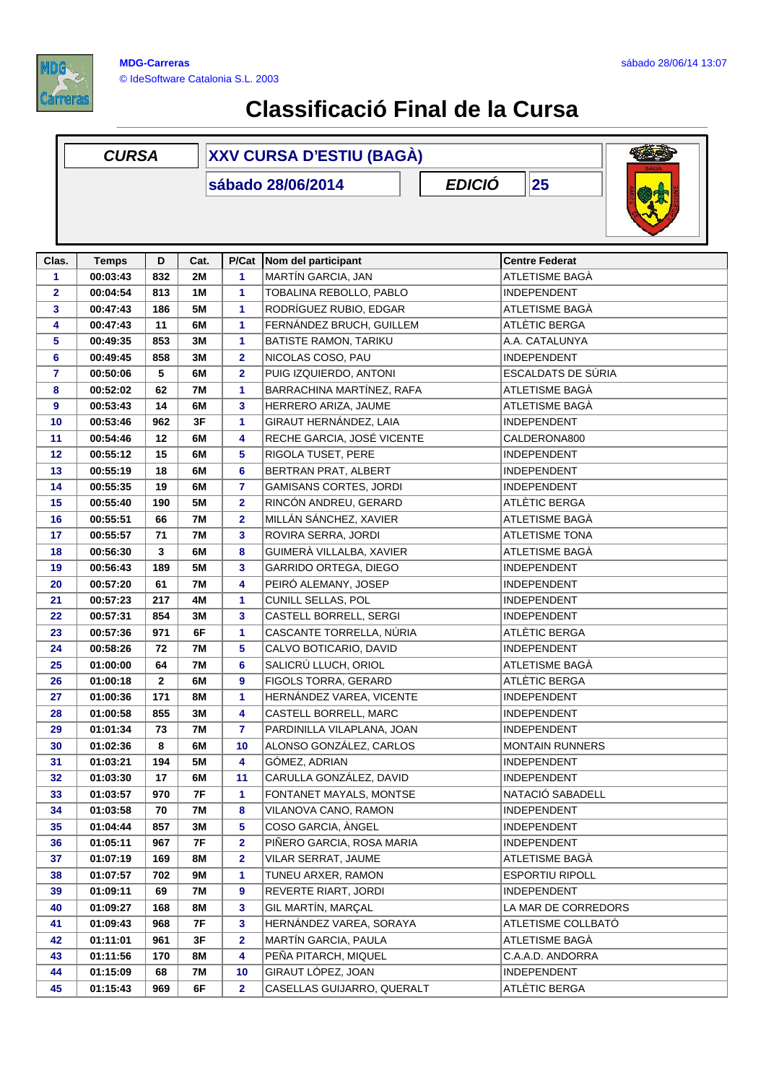

## **Classificació Final de la Cursa**

|                | <b>CURSA</b> |              |           | <b>XXV CURSA D'ESTIU (BAGÀ)</b> |                               |                        |  |  |  |  |
|----------------|--------------|--------------|-----------|---------------------------------|-------------------------------|------------------------|--|--|--|--|
|                |              |              |           |                                 | sábado 28/06/2014             | <b>EDICIÓ</b><br>25    |  |  |  |  |
|                |              |              |           |                                 |                               |                        |  |  |  |  |
| Clas.          | <b>Temps</b> | D            | Cat.      | P/Cat                           | Nom del participant           | <b>Centre Federat</b>  |  |  |  |  |
| 1              | 00:03:43     | 832          | <b>2M</b> | 1                               | MARTÍN GARCIA, JAN            | ATLETISME BAGÀ         |  |  |  |  |
| $\overline{2}$ | 00:04:54     | 813          | 1M        | 1                               | TOBALINA REBOLLO, PABLO       | INDEPENDENT            |  |  |  |  |
| 3              | 00:47:43     | 186          | <b>5M</b> | 1                               | RODRÍGUEZ RUBIO, EDGAR        | ATLETISME BAGA         |  |  |  |  |
| 4              | 00:47:43     | 11           | 6M        | 1                               | FERNÁNDEZ BRUCH, GUILLEM      | ATLÈTIC BERGA          |  |  |  |  |
| 5              | 00:49:35     | 853          | 3M        | 1                               | BATISTE RAMON, TARIKU         | A.A. CATALUNYA         |  |  |  |  |
| 6              | 00:49:45     | 858          | 3M        | $\mathbf 2$                     | NICOLAS COSO, PAU             | <b>INDEPENDENT</b>     |  |  |  |  |
| $\overline{7}$ | 00:50:06     | 5            | 6M        | $\overline{\mathbf{2}}$         | PUIG IZQUIERDO, ANTONI        | ESCALDATS DE SÚRIA     |  |  |  |  |
| 8              | 00:52:02     | 62           | <b>7M</b> | 1                               | BARRACHINA MARTÍNEZ, RAFA     | ATLETISME BAGÀ         |  |  |  |  |
| 9              | 00:53:43     | 14           | 6M        | 3                               | HERRERO ARIZA, JAUME          | ATLETISME BAGÀ         |  |  |  |  |
| 10             | 00:53:46     | 962          | 3F        | 1                               | GIRAUT HERNÁNDEZ, LAIA        | <b>INDEPENDENT</b>     |  |  |  |  |
| 11             | 00:54:46     | 12           | 6M        | 4                               | RECHE GARCIA, JOSÉ VICENTE    | CALDERONA800           |  |  |  |  |
| 12             | 00:55:12     | 15           | 6M        | 5                               | RIGOLA TUSET, PERE            | INDEPENDENT            |  |  |  |  |
| 13             | 00:55:19     | 18           | 6M        | 6                               | BERTRAN PRAT, ALBERT          | <b>INDEPENDENT</b>     |  |  |  |  |
| 14             | 00:55:35     | 19           | 6M        | $\overline{7}$                  | <b>GAMISANS CORTES, JORDI</b> | INDEPENDENT            |  |  |  |  |
| 15             | 00:55:40     | 190          | 5M        | $\overline{\mathbf{2}}$         | RINCÓN ANDREU, GERARD         | ATLÈTIC BERGA          |  |  |  |  |
| 16             | 00:55:51     | 66           | <b>7M</b> | $\mathbf 2$                     | MILLÁN SÁNCHEZ, XAVIER        | ATLETISME BAGÀ         |  |  |  |  |
| 17             | 00:55:57     | 71           | <b>7M</b> | 3                               | ROVIRA SERRA, JORDI           | <b>ATLETISME TONA</b>  |  |  |  |  |
| 18             | 00:56:30     | 3            | 6M        | 8                               | GUIMERÀ VILLALBA, XAVIER      | ATLETISME BAGÀ         |  |  |  |  |
| 19             | 00:56:43     | 189          | <b>5M</b> | 3                               | GARRIDO ORTEGA, DIEGO         | <b>INDEPENDENT</b>     |  |  |  |  |
| 20             | 00:57:20     | 61           | <b>7M</b> | 4                               | PEIRÓ ALEMANY, JOSEP          | INDEPENDENT            |  |  |  |  |
| 21             | 00:57:23     | 217          | 4M        | 1                               | CUNILL SELLAS, POL            | INDEPENDENT            |  |  |  |  |
| 22             | 00:57:31     | 854          | 3M        | 3                               | CASTELL BORRELL, SERGI        | INDEPENDENT            |  |  |  |  |
| 23             | 00:57:36     | 971          | 6F        | 1                               | CASCANTE TORRELLA, NÚRIA      | ATLETIC BERGA          |  |  |  |  |
| 24             | 00:58:26     | 72           | <b>7M</b> | 5                               | CALVO BOTICARIO, DAVID        | <b>INDEPENDENT</b>     |  |  |  |  |
| 25             | 01:00:00     | 64           | <b>7M</b> | 6                               | SALICRÚ LLUCH, ORIOL          | ATLETISME BAGÀ         |  |  |  |  |
| 26             | 01:00:18     | $\mathbf{2}$ | 6M        | 9                               | FIGOLS TORRA, GERARD          | ATLÈTIC BERGA          |  |  |  |  |
| 27             | 01:00:36     | 171          | <b>8M</b> | 1                               | HERNÁNDEZ VAREA, VICENTE      | <b>INDEPENDENT</b>     |  |  |  |  |
| 28             | 01:00:58     | 855          | 3M        | 4                               | CASTELL BORRELL, MARC         | INDEPENDENT            |  |  |  |  |
| 29             | 01:01:34     | 73           | 7M        | 7                               | PARDINILLA VILAPLANA, JOAN    | <b>INDEPENDENT</b>     |  |  |  |  |
| 30             | 01:02:36     | 8            | 6M        | 10                              | ALONSO GONZÁLEZ, CARLOS       | <b>MONTAIN RUNNERS</b> |  |  |  |  |
| 31             | 01:03:21     | 194          | 5М        | 4                               | GÓMEZ, ADRIAN                 | <b>INDEPENDENT</b>     |  |  |  |  |
| 32             | 01:03:30     | 17           | 6M        | 11                              | CARULLA GONZÁLEZ, DAVID       | <b>INDEPENDENT</b>     |  |  |  |  |
| 33             | 01:03:57     | 970          | 7F        | 1                               | FONTANET MAYALS, MONTSE       | NATACIÓ SABADELL       |  |  |  |  |
| 34             | 01:03:58     | 70           | 7M        | 8                               | VILANOVA CANO, RAMON          | INDEPENDENT            |  |  |  |  |
| 35             | 01:04:44     | 857          | 3M        | 5                               | COSO GARCIA, ANGEL            | <b>INDEPENDENT</b>     |  |  |  |  |
| 36             | 01:05:11     | 967          | 7F        | 2                               | PIÑERO GARCIA, ROSA MARIA     | INDEPENDENT            |  |  |  |  |
| 37             | 01:07:19     | 169          | 8M        | $\overline{\mathbf{2}}$         | VILAR SERRAT, JAUME           | ATLETISME BAGÀ         |  |  |  |  |
| 38             | 01:07:57     | 702          | 9M        | 1                               | TUNEU ARXER, RAMON            | <b>ESPORTIU RIPOLL</b> |  |  |  |  |
| 39             | 01:09:11     | 69           | 7M        | 9                               | REVERTE RIART, JORDI          | <b>INDEPENDENT</b>     |  |  |  |  |
| 40             | 01:09:27     | 168          | 8M        | 3                               | GIL MARTÍN, MARÇAL            | LA MAR DE CORREDORS    |  |  |  |  |
| 41             | 01:09:43     | 968          | 7F        | 3                               | HERNÁNDEZ VAREA, SORAYA       | ATLETISME COLLBATÓ     |  |  |  |  |
| 42             | 01:11:01     | 961          | 3F        | $\mathbf 2$                     | MARTÍN GARCIA, PAULA          | ATLETISME BAGÀ         |  |  |  |  |
| 43             | 01:11:56     | 170          | 8M        | 4                               | PEÑA PITARCH, MIQUEL          | C.A.A.D. ANDORRA       |  |  |  |  |
| 44             | 01:15:09     | 68           | 7M        | 10                              | GIRAUT LÓPEZ, JOAN            | <b>INDEPENDENT</b>     |  |  |  |  |
| 45             | 01:15:43     | 969          | 6F        | 2                               | CASELLAS GUIJARRO, QUERALT    | ATLÈTIC BERGA          |  |  |  |  |